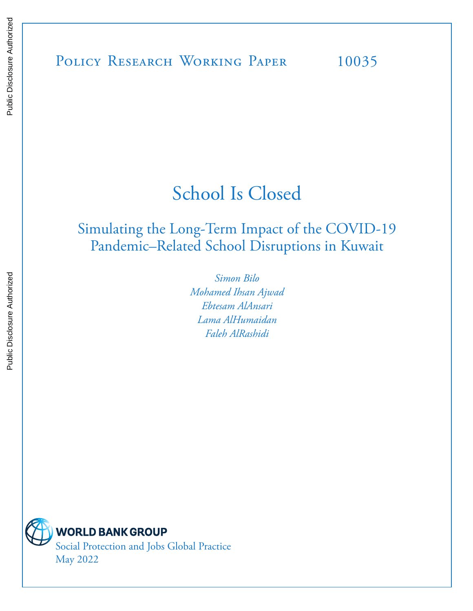# POLICY RESEARCH WORKING PAPER 10035

# School Is Closed

# Simulating the Long-Term Impact of the COVID-19 Pandemic–Related School Disruptions in Kuwait

*Simon Bilo Mohamed Ihsan Ajwad Ebtesam AlAnsari Lama AlHumaidan Faleh AlRashidi* 



**WORLD BANK GROUP** 

Social Protection and Jobs Global Practice May 2022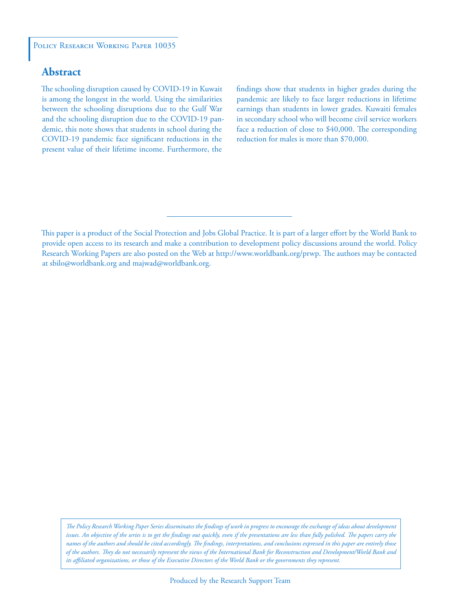#### POLICY RESEARCH WORKING PAPER 10035

# **Abstract**

The schooling disruption caused by COVID-19 in Kuwait is among the longest in the world. Using the similarities between the schooling disruptions due to the Gulf War and the schooling disruption due to the COVID-19 pandemic, this note shows that students in school during the COVID-19 pandemic face significant reductions in the present value of their lifetime income. Furthermore, the

findings show that students in higher grades during the pandemic are likely to face larger reductions in lifetime earnings than students in lower grades. Kuwaiti females in secondary school who will become civil service workers face a reduction of close to \$40,000. The corresponding reduction for males is more than \$70,000.

*The Policy Research Working Paper Series disseminates the findings of work in progress to encourage the exchange of ideas about development*  issues. An objective of the series is to get the findings out quickly, even if the presentations are less than fully polished. The papers carry the *names of the authors and should be cited accordingly. The findings, interpretations, and conclusions expressed in this paper are entirely those of the authors. They do not necessarily represent the views of the International Bank for Reconstruction and Development/World Bank and its affiliated organizations, or those of the Executive Directors of the World Bank or the governments they represent.*

This paper is a product of the Social Protection and Jobs Global Practice. It is part of a larger effort by the World Bank to provide open access to its research and make a contribution to development policy discussions around the world. Policy Research Working Papers are also posted on the Web at http://www.worldbank.org/prwp. The authors may be contacted at sbilo@worldbank.org and majwad@worldbank.org.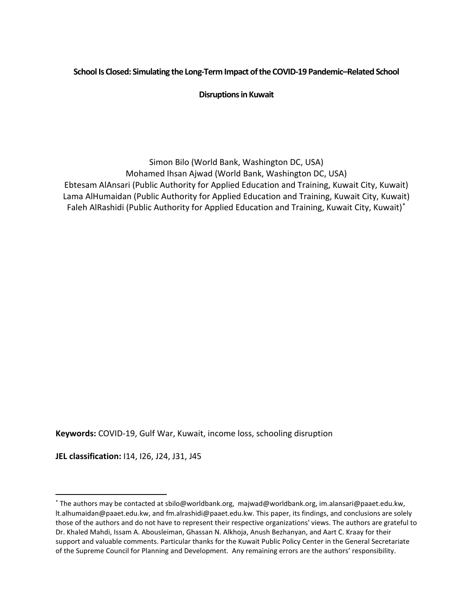# **School Is Closed: Simulating the Long-Term Impact of the COVID-19 Pandemic–Related School**

**Disruptions in Kuwait**

Simon Bilo (World Bank, Washington DC, USA) Mohamed Ihsan Ajwad (World Bank, Washington DC, USA) Ebtesam AlAnsari (Public Authority for Applied Education and Training, Kuwait City, Kuwait) Lama AlHumaidan (Public Authority for Applied Education and Training, Kuwait City, Kuwait) Faleh AlRashidi (Public Authority for Applied Education and Training, Kuwait City, Kuwait)[\\*](#page-2-0)

**Keywords:** COVID-19, Gulf War, Kuwait, income loss, schooling disruption

**JEL classification:** I14, I26, J24, J31, J45

<span id="page-2-0"></span><sup>\*</sup> The authors may be contacted at sbilo@worldbank.org, majwad@worldbank.org, im.alansari@paaet.edu.kw, lt.alhumaidan@paaet.edu.kw, and fm.alrashidi@paaet.edu.kw. This paper, its findings, and conclusions are solely those of the authors and do not have to represent their respective organizations' views. The authors are grateful to Dr. Khaled Mahdi, Issam A. Abousleiman, Ghassan N. Alkhoja, Anush Bezhanyan, and Aart C. Kraay for their support and valuable comments. Particular thanks for the Kuwait Public Policy Center in the General Secretariate of the Supreme Council for Planning and Development. Any remaining errors are the authors' responsibility.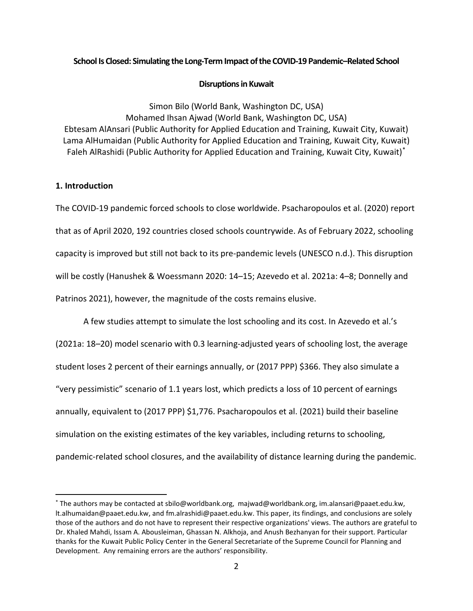#### **School Is Closed: Simulating the Long-Term Impact of the COVID-19 Pandemic–Related School**

#### **Disruptions in Kuwait**

Simon Bilo (World Bank, Washington DC, USA) Mohamed Ihsan Ajwad (World Bank, Washington DC, USA) Ebtesam AlAnsari (Public Authority for Applied Education and Training, Kuwait City, Kuwait) Lama AlHumaidan (Public Authority for Applied Education and Training, Kuwait City, Kuwait) Faleh AlRashidi (Public Authority for Applied Education and Training, Kuwait City, Kuwait)[\\*](#page-3-0)

## **1. Introduction**

The COVID-19 pandemic forced schools to close worldwide. Psacharopoulos et al. (2020) report that as of April 2020, 192 countries closed schools countrywide. As of February 2022, schooling capacity is improved but still not back to its pre-pandemic levels (UNESCO n.d.). This disruption will be costly (Hanushek & Woessmann 2020: 14–15; Azevedo et al. 2021a: 4–8; Donnelly and Patrinos 2021), however, the magnitude of the costs remains elusive.

A few studies attempt to simulate the lost schooling and its cost. In Azevedo et al.'s (2021a: 18–20) model scenario with 0.3 learning-adjusted years of schooling lost, the average student loses 2 percent of their earnings annually, or (2017 PPP) \$366. They also simulate a "very pessimistic" scenario of 1.1 years lost, which predicts a loss of 10 percent of earnings annually, equivalent to (2017 PPP) \$1,776. Psacharopoulos et al. (2021) build their baseline simulation on the existing estimates of the key variables, including returns to schooling, pandemic-related school closures, and the availability of distance learning during the pandemic.

<span id="page-3-0"></span><sup>\*</sup> The authors may be contacted at sbilo@worldbank.org, majwad@worldbank.org, im.alansari@paaet.edu.kw, lt.alhumaidan@paaet.edu.kw, and fm.alrashidi@paaet.edu.kw. This paper, its findings, and conclusions are solely those of the authors and do not have to represent their respective organizations' views. The authors are grateful to Dr. Khaled Mahdi, Issam A. Abousleiman, Ghassan N. Alkhoja, and Anush Bezhanyan for their support. Particular thanks for the Kuwait Public Policy Center in the General Secretariate of the Supreme Council for Planning and Development. Any remaining errors are the authors' responsibility.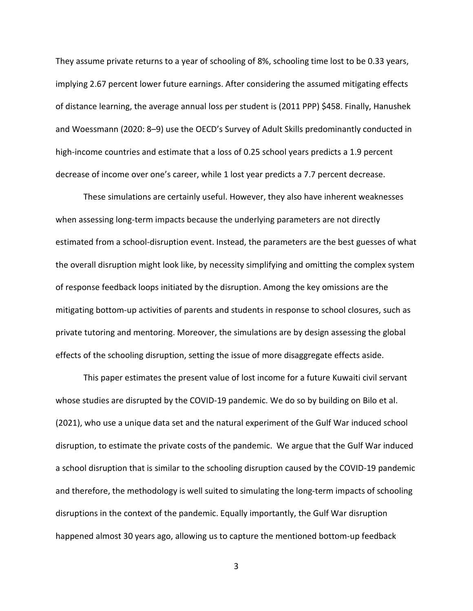They assume private returns to a year of schooling of 8%, schooling time lost to be 0.33 years, implying 2.67 percent lower future earnings. After considering the assumed mitigating effects of distance learning, the average annual loss per student is (2011 PPP) \$458. Finally, Hanushek and Woessmann (2020: 8–9) use the OECD's Survey of Adult Skills predominantly conducted in high-income countries and estimate that a loss of 0.25 school years predicts a 1.9 percent decrease of income over one's career, while 1 lost year predicts a 7.7 percent decrease.

These simulations are certainly useful. However, they also have inherent weaknesses when assessing long-term impacts because the underlying parameters are not directly estimated from a school-disruption event. Instead, the parameters are the best guesses of what the overall disruption might look like, by necessity simplifying and omitting the complex system of response feedback loops initiated by the disruption. Among the key omissions are the mitigating bottom-up activities of parents and students in response to school closures, such as private tutoring and mentoring. Moreover, the simulations are by design assessing the global effects of the schooling disruption, setting the issue of more disaggregate effects aside.

This paper estimates the present value of lost income for a future Kuwaiti civil servant whose studies are disrupted by the COVID-19 pandemic. We do so by building on Bilo et al. (2021), who use a unique data set and the natural experiment of the Gulf War induced school disruption, to estimate the private costs of the pandemic. We argue that the Gulf War induced a school disruption that is similar to the schooling disruption caused by the COVID-19 pandemic and therefore, the methodology is well suited to simulating the long-term impacts of schooling disruptions in the context of the pandemic. Equally importantly, the Gulf War disruption happened almost 30 years ago, allowing us to capture the mentioned bottom-up feedback

3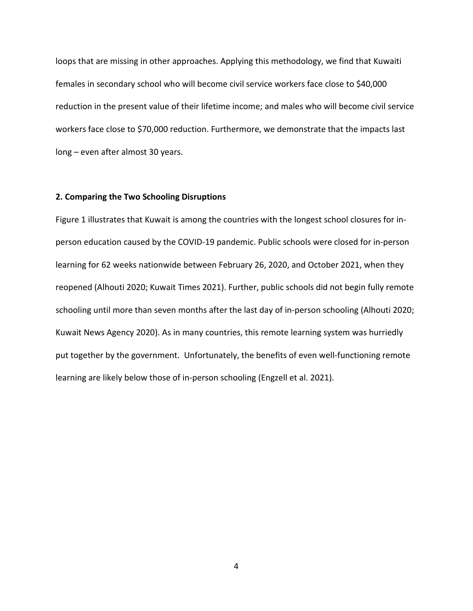loops that are missing in other approaches. Applying this methodology, we find that Kuwaiti females in secondary school who will become civil service workers face close to \$40,000 reduction in the present value of their lifetime income; and males who will become civil service workers face close to \$70,000 reduction. Furthermore, we demonstrate that the impacts last long – even after almost 30 years.

#### **2. Comparing the Two Schooling Disruptions**

[Figure 1](#page-6-0) illustrates that Kuwait is among the countries with the longest school closures for inperson education caused by the COVID-19 pandemic. Public schools were closed for in-person learning for 62 weeks nationwide between February 26, 2020, and October 2021, when they reopened (Alhouti 2020; Kuwait Times 2021). Further, public schools did not begin fully remote schooling until more than seven months after the last day of in-person schooling (Alhouti 2020; Kuwait News Agency 2020). As in many countries, this remote learning system was hurriedly put together by the government. Unfortunately, the benefits of even well-functioning remote learning are likely below those of in-person schooling (Engzell et al. 2021).

4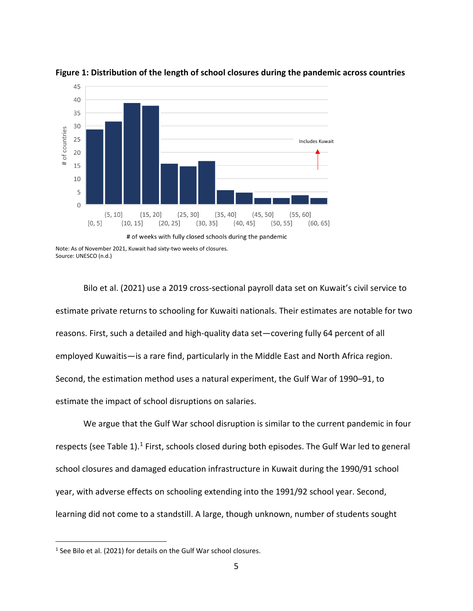

<span id="page-6-0"></span>**Figure 1: Distribution of the length of school closures during the pandemic across countries** 

Bilo et al. (2021) use a 2019 cross-sectional payroll data set on Kuwait's civil service to estimate private returns to schooling for Kuwaiti nationals. Their estimates are notable for two reasons. First, such a detailed and high-quality data set—covering fully 64 percent of all employed Kuwaitis—is a rare find, particularly in the Middle East and North Africa region. Second, the estimation method uses a natural experiment, the Gulf War of 1990–91, to estimate the impact of school disruptions on salaries.

We argue that the Gulf War school disruption is similar to the current pandemic in four respects (se[e Table](#page-7-0) [1](#page-6-1)).<sup>1</sup> First, schools closed during both episodes. The Gulf War led to general school closures and damaged education infrastructure in Kuwait during the 1990/91 school year, with adverse effects on schooling extending into the 1991/92 school year. Second, learning did not come to a standstill. A large, though unknown, number of students sought

Note: As of November 2021, Kuwait had sixty-two weeks of closures. Source: UNESCO (n.d.)

<span id="page-6-1"></span><sup>&</sup>lt;sup>1</sup> See Bilo et al. (2021) for details on the Gulf War school closures.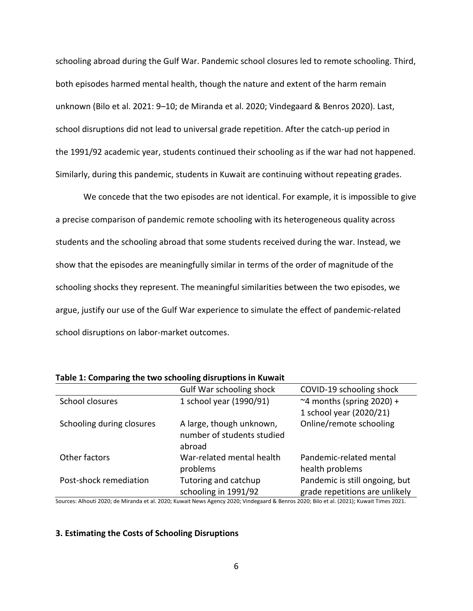schooling abroad during the Gulf War. Pandemic school closures led to remote schooling. Third, both episodes harmed mental health, though the nature and extent of the harm remain unknown (Bilo et al. 2021: 9–10; de Miranda et al. 2020; Vindegaard & Benros 2020). Last, school disruptions did not lead to universal grade repetition. After the catch-up period in the 1991/92 academic year, students continued their schooling as if the war had not happened. Similarly, during this pandemic, students in Kuwait are continuing without repeating grades.

We concede that the two episodes are not identical. For example, it is impossible to give a precise comparison of pandemic remote schooling with its heterogeneous quality across students and the schooling abroad that some students received during the war. Instead, we show that the episodes are meaningfully similar in terms of the order of magnitude of the schooling shocks they represent. The meaningful similarities between the two episodes, we argue, justify our use of the Gulf War experience to simulate the effect of pandemic-related school disruptions on labor-market outcomes.

|                           | Gulf War schooling shock                                         | COVID-19 schooling shock                                         |
|---------------------------|------------------------------------------------------------------|------------------------------------------------------------------|
| School closures           | 1 school year (1990/91)                                          | ~4 months (spring $2020$ ) +                                     |
|                           |                                                                  | 1 school year (2020/21)                                          |
| Schooling during closures | A large, though unknown,<br>number of students studied<br>abroad | Online/remote schooling                                          |
| Other factors             | War-related mental health<br>problems                            | Pandemic-related mental<br>health problems                       |
| Post-shock remediation    | Tutoring and catchup<br>schooling in 1991/92                     | Pandemic is still ongoing, but<br>grade repetitions are unlikely |

<span id="page-7-0"></span>**Table 1: Comparing the two schooling disruptions in Kuwait**

Sources: Alhouti 2020; de Miranda et al. 2020; Kuwait News Agency 2020; Vindegaard & Benros 2020; Bilo et al. (2021); Kuwait Times 2021.

#### **3. Estimating the Costs of Schooling Disruptions**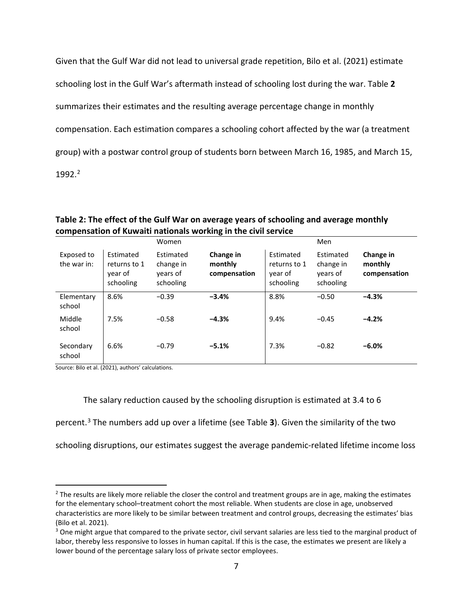Given that the Gulf War did not lead to universal grade repetition, Bilo et al. (2021) estimate schooling lost in the Gulf War's aftermath instead of schooling lost during the war. [Table](#page-8-0) **2** summarizes their estimates and the resulting average percentage change in monthly compensation. Each estimation compares a schooling cohort affected by the war (a treatment group) with a postwar control group of students born between March 16, 1985, and March 15, 199[2](#page-8-1).2

## <span id="page-8-0"></span>**Table 2: The effect of the Gulf War on average years of schooling and average monthly compensation of Kuwaiti nationals working in the civil service**

|                           |                                                   | Women                                           |                                      |                                                   | Men                                             |                                      |
|---------------------------|---------------------------------------------------|-------------------------------------------------|--------------------------------------|---------------------------------------------------|-------------------------------------------------|--------------------------------------|
| Exposed to<br>the war in: | Estimated<br>returns to 1<br>year of<br>schooling | Estimated<br>change in<br>vears of<br>schooling | Change in<br>monthly<br>compensation | Estimated<br>returns to 1<br>year of<br>schooling | Estimated<br>change in<br>years of<br>schooling | Change in<br>monthly<br>compensation |
| Elementary<br>school      | 8.6%                                              | $-0.39$                                         | $-3.4%$                              | 8.8%                                              | $-0.50$                                         | $-4.3%$                              |
| Middle<br>school          | 7.5%                                              | $-0.58$                                         | $-4.3%$                              | 9.4%                                              | $-0.45$                                         | $-4.2%$                              |
| Secondary<br>school       | 6.6%                                              | $-0.79$                                         | $-5.1%$                              | 7.3%                                              | $-0.82$                                         | $-6.0%$                              |

Source: Bilo et al. (2021), authors' calculations.

The salary reduction caused by the schooling disruption is estimated at 3.4 to 6

percent. [3](#page-8-2) The numbers add up over a lifetime (se[e Table](#page-9-0) **3**). Given the similarity of the two

schooling disruptions, our estimates suggest the average pandemic-related lifetime income loss

<span id="page-8-1"></span> $<sup>2</sup>$  The results are likely more reliable the closer the control and treatment groups are in age, making the estimates</sup> for the elementary school–treatment cohort the most reliable. When students are close in age, unobserved characteristics are more likely to be similar between treatment and control groups, decreasing the estimates' bias (Bilo et al. 2021).

<span id="page-8-2"></span><sup>&</sup>lt;sup>3</sup> One might argue that compared to the private sector, civil servant salaries are less tied to the marginal product of labor, thereby less responsive to losses in human capital. If this is the case, the estimates we present are likely a lower bound of the percentage salary loss of private sector employees.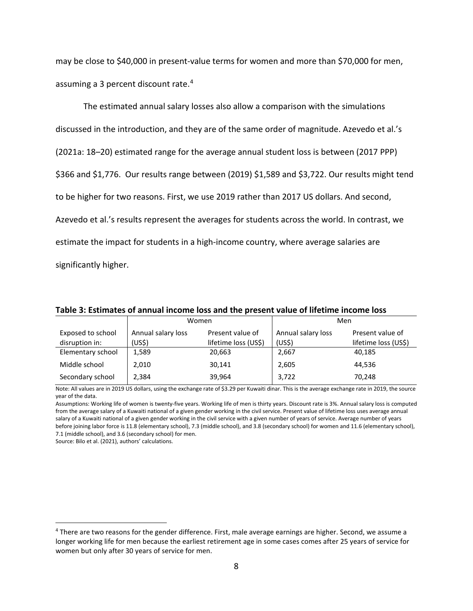may be close to \$40,000 in present-value terms for women and more than \$70,000 for men, assuming a 3 percent discount rate. [4](#page-9-1)

The estimated annual salary losses also allow a comparison with the simulations discussed in the introduction, and they are of the same order of magnitude. Azevedo et al.'s (2021a: 18–20) estimated range for the average annual student loss is between (2017 PPP) \$366 and \$1,776. Our results range between (2019) \$1,589 and \$3,722. Our results might tend to be higher for two reasons. First, we use 2019 rather than 2017 US dollars. And second, Azevedo et al.'s results represent the averages for students across the world. In contrast, we estimate the impact for students in a high-income country, where average salaries are significantly higher.

|                   |                    | Women                | Men                |                      |  |
|-------------------|--------------------|----------------------|--------------------|----------------------|--|
| Exposed to school | Annual salary loss | Present value of     | Annual salary loss | Present value of     |  |
| disruption in:    | (US\$)             | lifetime loss (US\$) | (US <sup>5</sup> ) | lifetime loss (US\$) |  |
| Elementary school | 1,589              | 20,663               | 2,667              | 40,185               |  |
| Middle school     | 2,010              | 30,141               | 2,605              | 44,536               |  |
| Secondary school  | 2,384              | 39,964               | 3,722              | 70,248               |  |

<span id="page-9-0"></span>**Table 3: Estimates of annual income loss and the present value of lifetime income loss** 

Note: All values are in 2019 US dollars, using the exchange rate of \$3.29 per Kuwaiti dinar. This is the average exchange rate in 2019, the source year of the data.

Assumptions: Working life of women is twenty-five years. Working life of men is thirty years. Discount rate is 3%. Annual salary loss is computed from the average salary of a Kuwaiti national of a given gender working in the civil service. Present value of lifetime loss uses average annual salary of a Kuwaiti national of a given gender working in the civil service with a given number of years of service. Average number of years before joining labor force is 11.8 (elementary school), 7.3 (middle school), and 3.8 (secondary school) for women and 11.6 (elementary school), 7.1 (middle school), and 3.6 (secondary school) for men.

Source: Bilo et al. (2021), authors' calculations.

<span id="page-9-1"></span><sup>4</sup> There are two reasons for the gender difference. First, male average earnings are higher. Second, we assume a longer working life for men because the earliest retirement age in some cases comes after 25 years of service for women but only after 30 years of service for men.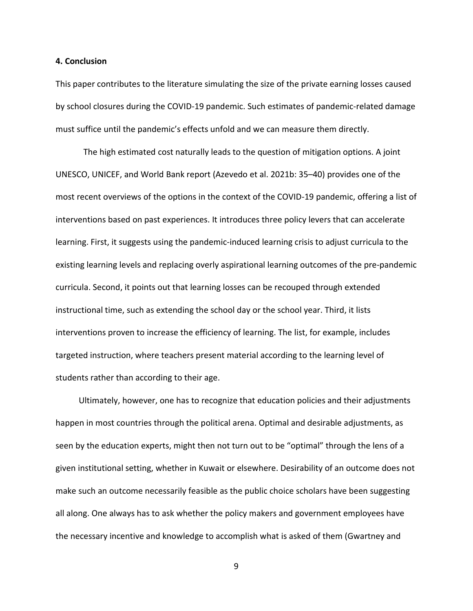#### **4. Conclusion**

This paper contributes to the literature simulating the size of the private earning losses caused by school closures during the COVID-19 pandemic. Such estimates of pandemic-related damage must suffice until the pandemic's effects unfold and we can measure them directly.

The high estimated cost naturally leads to the question of mitigation options. A joint UNESCO, UNICEF, and World Bank report (Azevedo et al. 2021b: 35–40) provides one of the most recent overviews of the options in the context of the COVID-19 pandemic, offering a list of interventions based on past experiences. It introduces three policy levers that can accelerate learning. First, it suggests using the pandemic-induced learning crisis to adjust curricula to the existing learning levels and replacing overly aspirational learning outcomes of the pre-pandemic curricula. Second, it points out that learning losses can be recouped through extended instructional time, such as extending the school day or the school year. Third, it lists interventions proven to increase the efficiency of learning. The list, for example, includes targeted instruction, where teachers present material according to the learning level of students rather than according to their age.

 Ultimately, however, one has to recognize that education policies and their adjustments happen in most countries through the political arena. Optimal and desirable adjustments, as seen by the education experts, might then not turn out to be "optimal" through the lens of a given institutional setting, whether in Kuwait or elsewhere. Desirability of an outcome does not make such an outcome necessarily feasible as the public choice scholars have been suggesting all along. One always has to ask whether the policy makers and government employees have the necessary incentive and knowledge to accomplish what is asked of them (Gwartney and

9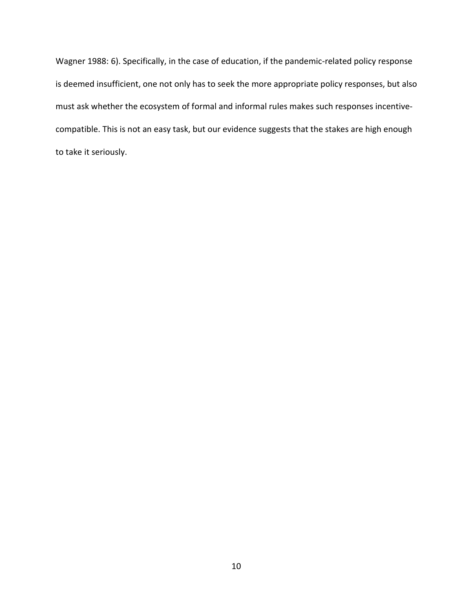Wagner 1988: 6). Specifically, in the case of education, if the pandemic-related policy response is deemed insufficient, one not only has to seek the more appropriate policy responses, but also must ask whether the ecosystem of formal and informal rules makes such responses incentivecompatible. This is not an easy task, but our evidence suggests that the stakes are high enough to take it seriously.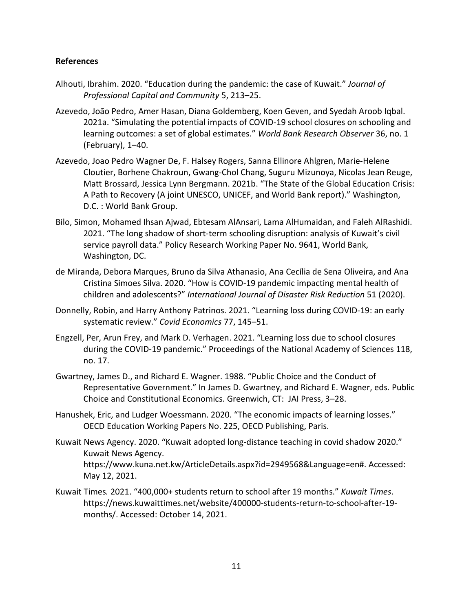## **References**

- Alhouti, Ibrahim. 2020. "Education during the pandemic: the case of Kuwait." *Journal of Professional Capital and Community* 5, 213–25.
- Azevedo, João Pedro, Amer Hasan, Diana Goldemberg, Koen Geven, and Syedah Aroob Iqbal. 2021a. "Simulating the potential impacts of COVID-19 school closures on schooling and learning outcomes: a set of global estimates." *World Bank Research Observer* 36, no. 1 (February), 1–40.
- Azevedo, Joao Pedro Wagner De, F. Halsey Rogers, Sanna Ellinore Ahlgren, Marie-Helene Cloutier, Borhene Chakroun, Gwang-Chol Chang, Suguru Mizunoya, Nicolas Jean Reuge, Matt Brossard, Jessica Lynn Bergmann. 2021b. "The State of the Global Education Crisis: A Path to Recovery (A joint UNESCO, UNICEF, and World Bank report)." Washington, D.C. : World Bank Group.
- Bilo, Simon, Mohamed Ihsan Ajwad, Ebtesam AlAnsari, Lama AlHumaidan, and Faleh AlRashidi. 2021. "The long shadow of short-term schooling disruption: analysis of Kuwait's civil service payroll data." Policy Research Working Paper No. 9641, World Bank, Washington, DC.
- de Miranda, Debora Marques, Bruno da Silva Athanasio, Ana Cecília de Sena Oliveira, and Ana Cristina Simoes Silva. 2020. "How is COVID-19 pandemic impacting mental health of children and adolescents?" *International Journal of Disaster Risk Reduction* 51 (2020).
- Donnelly, Robin, and Harry Anthony Patrinos. 2021. "Learning loss during COVID-19: an early systematic review." *Covid Economics* 77, 145–51.
- Engzell, Per, Arun Frey, and Mark D. Verhagen. 2021. "Learning loss due to school closures during the COVID-19 pandemic." Proceedings of the National Academy of Sciences 118, no. 17.
- Gwartney, James D., and Richard E. Wagner. 1988. "Public Choice and the Conduct of Representative Government." In James D. Gwartney, and Richard E. Wagner, eds. Public Choice and Constitutional Economics. Greenwich, CT: JAI Press, 3–28.
- Hanushek, Eric, and Ludger Woessmann. 2020. "The economic impacts of learning losses." OECD Education Working Papers No. 225, OECD Publishing, Paris.
- Kuwait News Agency. 2020. "Kuwait adopted long-distance teaching in covid shadow 2020." Kuwait News Agency. https://www.kuna.net.kw/ArticleDetails.aspx?id=2949568&Language=en#. Accessed: May 12, 2021.
- Kuwait Times*.* 2021. "400,000+ students return to school after 19 months." *Kuwait Times*. https://news.kuwaittimes.net/website/400000-students-return-to-school-after-19 months/. Accessed: October 14, 2021.